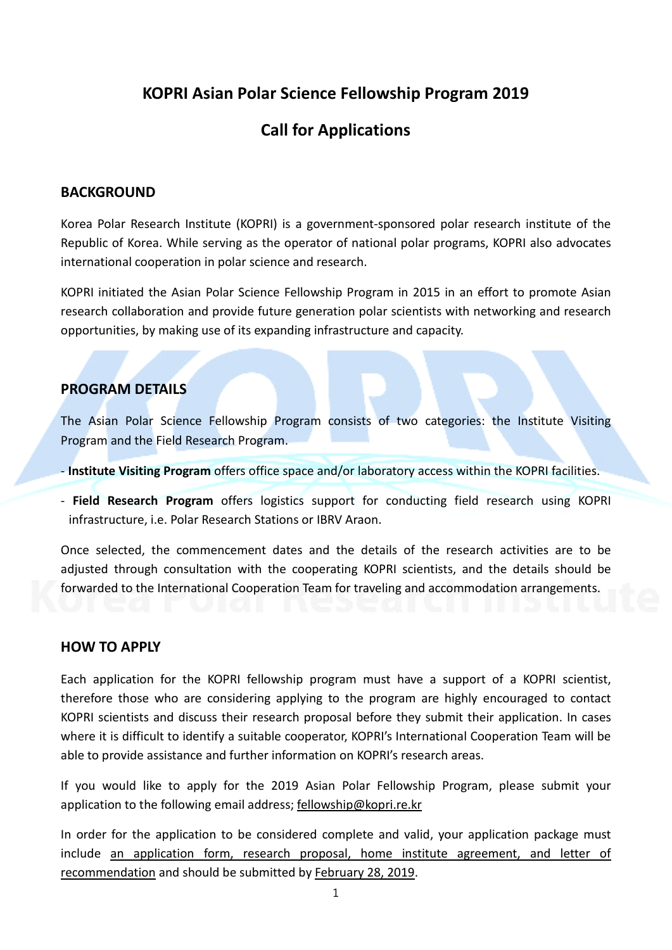## **KOPRI Asian Polar Science Fellowship Program 2019**

# **Call for Applications**

### **BACKGROUND**

Korea Polar Research Institute (KOPRI) is a government-sponsored polar research institute of the Republic of Korea. While serving as the operator of national polar programs, KOPRI also advocates international cooperation in polar science and research.

KOPRI initiated the Asian Polar Science Fellowship Program in 2015 in an effort to promote Asian research collaboration and provide future generation polar scientists with networking and research opportunities, by making use of its expanding infrastructure and capacity.

### **PROGRAM DETAILS**

The Asian Polar Science Fellowship Program consists of two categories: the Institute Visiting Program and the Field Research Program.

- **Institute Visiting Program** offers office space and/or laboratory access within the KOPRI facilities.
- **Field Research Program** offers logistics support for conducting field research using KOPRI infrastructure, i.e. Polar Research Stations or IBRV Araon.

Once selected, the commencement dates and the details of the research activities are to be adjusted through consultation with the cooperating KOPRI scientists, and the details should be forwarded to the International Cooperation Team for traveling and accommodation arrangements.

#### **HOW TO APPLY**

Each application for the KOPRI fellowship program must have a support of a KOPRI scientist, therefore those who are considering applying to the program are highly encouraged to contact KOPRI scientists and discuss their research proposal before they submit their application. In cases where it is difficult to identify a suitable cooperator, KOPRI's International Cooperation Team will be able to provide assistance and further information on KOPRI's research areas.

If you would like to apply for the 2019 Asian Polar Fellowship Program, please submit your application to the following email address; [fellowship@kopri.re.kr](mailto:fellowship@kopri.re.kr)

In order for the application to be considered complete and valid, your application package must include an application form, research proposal, home institute agreement, and letter of recommendation and should be submitted by February 28, 2019.